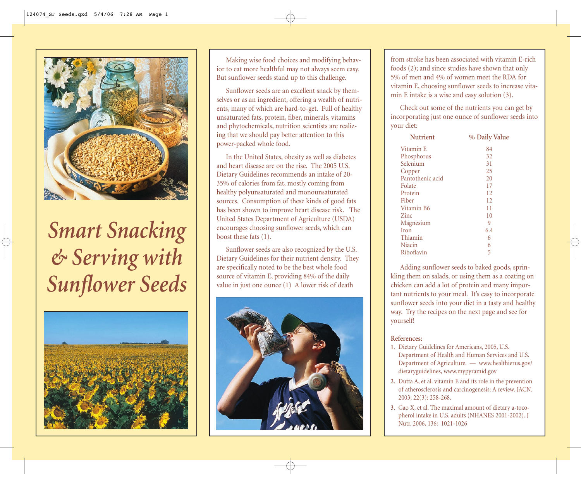

# *Smart Snacking & Serving with Sunflower Seeds*



Making wise food choices and modifying behavior to eat more healthful may not always seem easy. But sunflower seeds stand up to this challenge.

Sunflower seeds are an excellent snack by themselves or as an ingredient, offering a wealth of nutrients, many of which are hard-to-get. Full of healthy unsaturated fats, protein, fiber, minerals, vitamins and phytochemicals, nutrition scientists are realizing that we should pay better attention to this power-packed whole food.

In the United States, obesity as well as diabetes and heart disease are on the rise. The 2005 U.S. Dietary Guidelines recommends an intake of 20- 35% of calories from fat, mostly coming from healthy polyunsaturated and monounsaturated sources. Consumption of these kinds of good fats has been shown to improve heart disease risk. The United States Department of Agriculture (USDA) encourages choosing sunflower seeds, which can boost these fats (1).

Sunflower seeds are also recognized by the U.S. Dietary Guidelines for their nutrient density. They are specifically noted to be the best whole food source of vitamin E, providing 84% of the daily value in just one ounce (1) A lower risk of death



from stroke has been associated with vitamin E-rich foods (2); and since studies have shown that only 5% of men and 4% of women meet the RDA for vitamin E, choosing sunflower seeds to increase vitamin E intake is a wise and easy solution (3).

Check out some of the nutrients you can get by incorporating just one ounce of sunflower seeds into your diet:

| <b>Nutrient</b>  | % Daily Value |
|------------------|---------------|
| Vitamin E        | 84            |
| Phosphorus       | 32            |
| Selenium         | 31            |
| Copper           | 25            |
| Pantothenic acid | 20            |
| Folate           | 17            |
| Protein          | 12            |
| Fiber            | 12            |
| Vitamin B6       | 11            |
| Zinc.            | 10            |
| Magnesium        | 9             |
| Iron             | 6.4           |
| Thiamin          | 6             |
| Niacin           | 6             |
| Riboflavin       | 5             |

Adding sunflower seeds to baked goods, sprinkling them on salads, or using them as a coating on chicken can add a lot of protein and many important nutrients to your meal. It's easy to incorporate sunflower seeds into your diet in a tasty and healthy way. Try the recipes on the next page and see for yourself!

#### **References:**

- 1. Dietary Guidelines for Americans, 2005, U.S. Department of Health and Human Services and U.S. Department of Agriculture. — www.healthierus.gov/ dietaryguidelines, www.mypyramid.gov
- Dutta A, et al. vitamin E and its role in the prevention **2.** of atherosclerosis and carcinogenesis: A review. JACN. 2003; 22(3): 258-268.
- Gao X, et al. The maximal amount of dietary a-toco-**3**. pherol intake in U.S. adults (NHANES 2001-2002). J Nutr. 2006, 136: 1021-1026